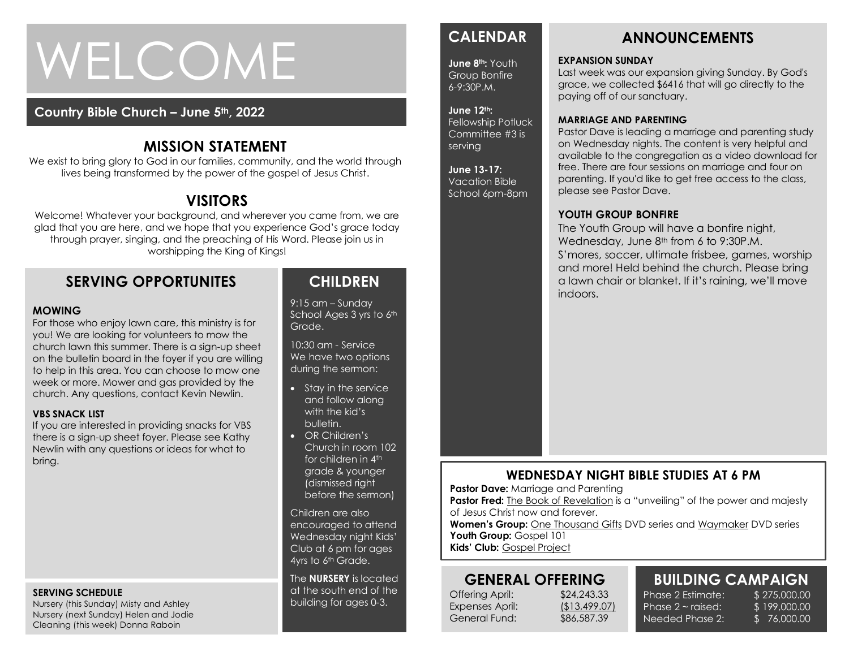# WELCOME

### **Country Bible Church – June 5th, 2022**

# **MISSION STATEMENT**

We exist to bring glory to God in our families, community, and the world through lives being transformed by the power of the gospel of Jesus Christ.

# **VISITORS**

Welcome! Whatever your background, and wherever you came from, we are glad that you are here, and we hope that you experience God's grace today through prayer, singing, and the preaching of His Word. Please join us in worshipping the King of Kings!

# **SERVING OPPORTUNITES**

#### **MOWING**

week or more. Mower and gas provided by the<br>week or more. Mower and gas provided by the For those who enjoy lawn care, this ministry is for you! We are looking for volunteers to mow the church lawn this summer. There is a sign-up sheet on the bulletin board in the foyer if you are willing to help in this area. You can choose to mow one church. Any questions, contact Kevin Newlin.

#### **VBS SNACK LIST**

If you are interested in providing snacks for VBS there is a sign-up sheet foyer. Please see Kathy Newlin with any questions or ideas for what to bring.

#### **SERVING SCHEDULE**

Nursery (this Sunday) Misty and Ashley Nursery (next Sunday) Helen and Jodie Cleaning (this week) Donna Raboin

# **CHILDREN**

9:15 am – Sunday School Ages 3 yrs to 6th Grade.

10:30 am - Service We have two options during the sermon:

- Stay in the service and follow along with the kid's bulletin.
- OR Children's Church in room 102 for children in 4th grade & younger (dismissed right before the sermon)

Children are also encouraged to attend Wednesday night Kids' Club at 6 pm for ages 4yrs to 6<sup>th</sup> Grade.

The **NURSERY** is located at the south end of the building for ages 0-3.

# **CALENDAR**

**June 8th:** Youth Group Bonfire 6-9:30P.M.

#### **June 12th:**

Fellowship Potluck Committee #3 is serving

#### **June 13-17:**  Vacation Bible

School 6pm-8pm



# **ANNOUNCEMENTS**

#### **EXPANSION SUNDAY**

Last week was our expansion giving Sunday. By God's grace, we collected \$6416 that will go directly to the paying off of our sanctuary.

#### **MARRIAGE AND PARENTING**

Pastor Dave is leading a marriage and parenting study on Wednesday nights. The content is very helpful and available to the congregation as a video download for free. There are four sessions on marriage and four on parenting. If you'd like to get free access to the class, please see Pastor Dave.

#### **YOUTH GROUP BONFIRE**

The Youth Group will have a bonfire night, Wednesday, June 8<sup>th</sup> from 6 to 9:30P.M. S'mores, soccer, ultimate frisbee, games, worship and more! Held behind the church. Please bring a lawn chair or blanket. If it's raining, we'll move indoors.

## **WEDNESDAY NIGHT BIBLE STUDIES AT 6 PM**

**Pastor Dave: Marriage and Parenting** 

**Pastor Fred:** The Book of Revelation is a "unveiling" of the power and majesty of Jesus Christ now and forever.

**Women's Group:** One Thousand Gifts DVD series and Waymaker DVD series Youth Group: Gospel 101

**Kids' Club:** Gospel Project

# **GENERAL OFFERING**

Offering April: \$24,243.33 Expenses April: (\$13,499.07) General Fund: \$86,587.39

# **BUILDING CAMPAIGN**

Phase 2 Estimate: \$275,000.00 Phase  $2 \sim$  raised: Needed Phase 2:

\$ 199,000.00 \$ 76,000.00